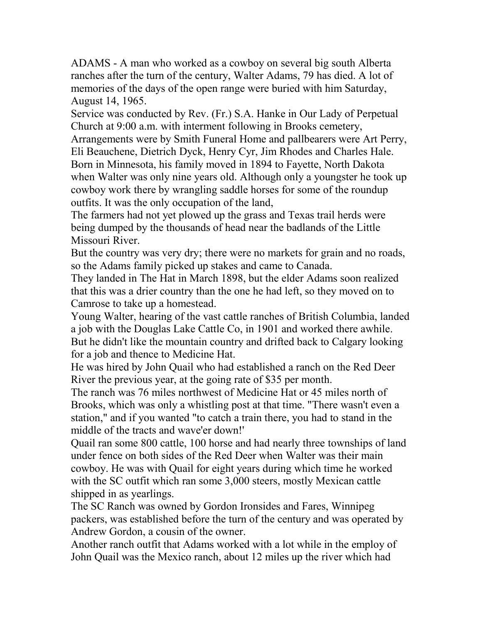ADAMS - A man who worked as a cowboy on several big south Alberta ranches after the turn of the century, Walter Adams, 79 has died. A lot of memories of the days of the open range were buried with him Saturday, August 14, 1965.

Service was conducted by Rev. (Fr.) S.A. Hanke in Our Lady of Perpetual Church at 9:00 a.m. with interment following in Brooks cemetery, Arrangements were by Smith Funeral Home and pallbearers were Art Perry, Eli Beauchene, Dietrich Dyck, Henry Cyr, Jim Rhodes and Charles Hale. Born in Minnesota, his family moved in 1894 to Fayette, North Dakota when Walter was only nine years old. Although only a youngster he took up cowboy work there by wrangling saddle horses for some of the roundup outfits. It was the only occupation of the land,

The farmers had not yet plowed up the grass and Texas trail herds were being dumped by the thousands of head near the badlands of the Little Missouri River.

But the country was very dry; there were no markets for grain and no roads, so the Adams family picked up stakes and came to Canada.

They landed in The Hat in March 1898, but the elder Adams soon realized that this was a drier country than the one he had left, so they moved on to Camrose to take up a homestead.

Young Walter, hearing of the vast cattle ranches of British Columbia, landed a job with the Douglas Lake Cattle Co, in 1901 and worked there awhile. But he didn't like the mountain country and drifted back to Calgary looking for a job and thence to Medicine Hat.

He was hired by John Quail who had established a ranch on the Red Deer River the previous year, at the going rate of \$35 per month.

The ranch was 76 miles northwest of Medicine Hat or 45 miles north of Brooks, which was only a whistling post at that time. "There wasn't even a station," and if you wanted "to catch a train there, you had to stand in the middle of the tracts and wave'er down!'

Quail ran some 800 cattle, 100 horse and had nearly three townships of land under fence on both sides of the Red Deer when Walter was their main cowboy. He was with Quail for eight years during which time he worked with the SC outfit which ran some 3,000 steers, mostly Mexican cattle shipped in as yearlings.

The SC Ranch was owned by Gordon Ironsides and Fares, Winnipeg packers, was established before the turn of the century and was operated by Andrew Gordon, a cousin of the owner.

Another ranch outfit that Adams worked with a lot while in the employ of John Quail was the Mexico ranch, about 12 miles up the river which had